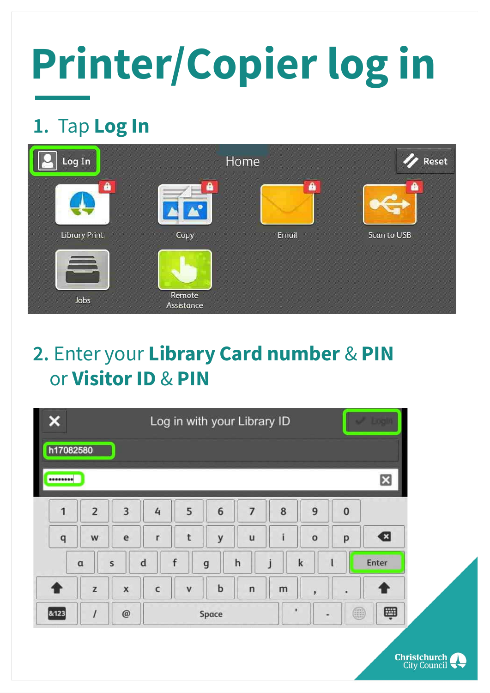#### **1.** Tap **Log In**

| Log In        |                      | Home  | Reset       |
|---------------|----------------------|-------|-------------|
| â             | €                    | Δ     | Α           |
| Library Print | Copy                 | Email | Scan to USB |
| 三<br>Jobs     | Remote<br>Assistance |       |             |

#### **2.** Enter your **Library Card number** & **PIN** or **Visitor ID** & **PIN**

| Log in with your Library ID |  |   |   |  |   |   |   |  |
|-----------------------------|--|---|---|--|---|---|---|--|
| h17082580                   |  |   |   |  |   |   |   |  |
|                             |  |   |   |  |   |   |   |  |
|                             |  | 3 | 4 |  | 6 | 8 | 9 |  |



**Christchurch**<br>City Council

# **Printer/Copier log in**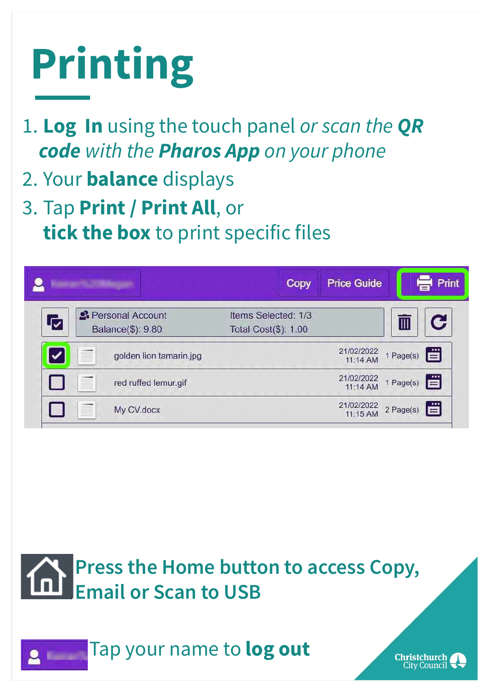# **Printing**

- 1. **Log In** using the touch panel *or scan the QR code with the Pharos App on your phone*
- 2. Your **balance** displays
- 3. Tap **Print / Print All**, or **tick the box** to print specific files

|                                                         | Copy                                        | <b>Price Guide</b>     | Print                   |
|---------------------------------------------------------|---------------------------------------------|------------------------|-------------------------|
| <sup>2</sup> Personal Account<br>√<br>Balance(\$): 9.80 | Items Selected: 1/3<br>Total Cost(\$): 1.00 |                        | $\overline{\mathbb{H}}$ |
| golden lion tamarin.jpg                                 |                                             | 21/02/2022<br>11:14 AM | lë<br>1 Page(s)         |
| red ruffed lemur.gif                                    |                                             | 21/02/2022<br>11:14 AM | lä<br>1 Page(s)         |
| My CV.docx                                              |                                             | 21/02/2022<br>11:15 AM | lä<br>2 Page(s)         |

#### **Press the Home button to access Copy, Email or Scan to USB**

#### Tap your name to **log out**

**Christchurch** City Council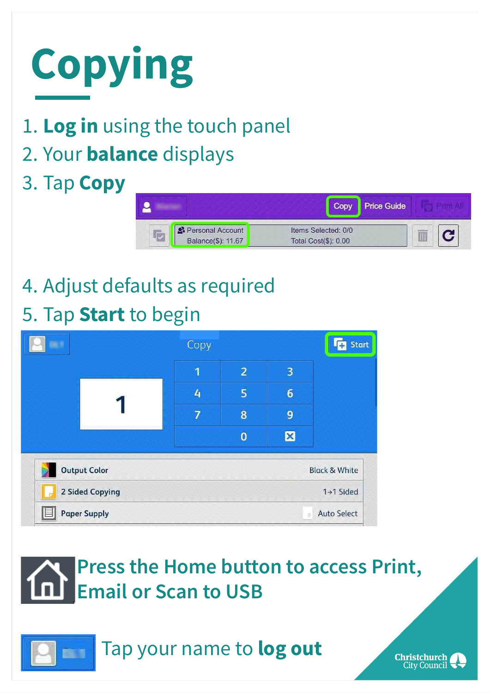

#### 1. **Log in** using the touch panel

2. Your **balance** displays

#### 3. Tap **Copy**

|                                        |                                             | <b>Price Guide</b> |  |
|----------------------------------------|---------------------------------------------|--------------------|--|
| Personal Account<br>Balance(\$): 11.67 | Items Selected: 0/0<br>Total Cost(\$): 0.00 |                    |  |

### 4. Adjust defaults as required

#### 5. Tap **Start** to begin

|                                                 |  | Copy |                |                         | <b>Start</b> |  |
|-------------------------------------------------|--|------|----------------|-------------------------|--------------|--|
|                                                 |  | 1    | $\overline{2}$ | $\overline{\mathbf{3}}$ |              |  |
|                                                 |  | 4    | 5              | $6\phantom{1}6$         |              |  |
|                                                 |  | 7    | $\bf{8}$       | 9                       |              |  |
|                                                 |  |      | $\bf{0}$       | 図                       |              |  |
| <b>Output Color</b><br><b>Black &amp; White</b> |  |      |                |                         |              |  |
| 2 Sided Copying<br>1+1 Sided                    |  |      |                |                         |              |  |
| <b>Auto Select</b><br><b>Paper Supply</b><br>ö, |  |      |                |                         |              |  |

#### **Press the Home button to access Print, Email or Scan to USB**



#### Tap your name to **log out**

**Christchurch**<br>City Council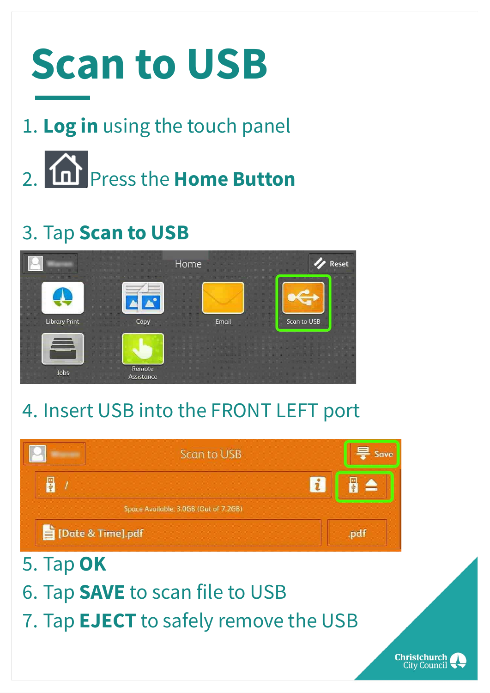

- 1. **Log in** using the touch panel
- 2. **In Press the Home Button**

#### 3. Tap **Scan to USB**



#### 4. Insert USB into the FRONT LEFT port







5. Tap **OK**

### 6. Tap **SAVE** to scan file to USB

#### 7. Tap **EJECT** to safely remove the USB